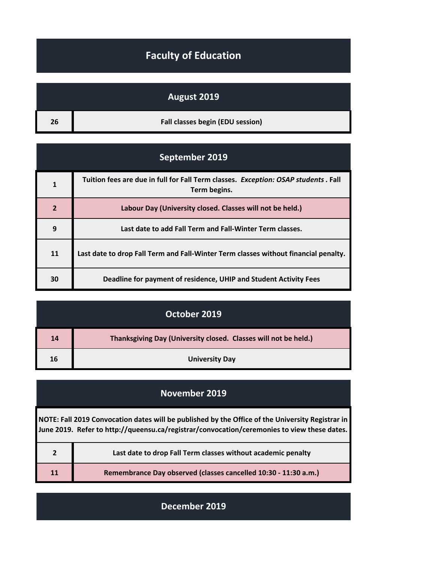## **Faculty of Education**

## **August 2019**

| 26 <sup>1</sup> | Fall classes begin (EDU session) |
|-----------------|----------------------------------|
|                 |                                  |

| September 2019 |                                                                                                    |
|----------------|----------------------------------------------------------------------------------------------------|
| 1              | Tuition fees are due in full for Fall Term classes. Exception: OSAP students. Fall<br>Term begins. |
| $\overline{2}$ | Labour Day (University closed. Classes will not be held.)                                          |
| 9              | Last date to add Fall Term and Fall-Winter Term classes.                                           |
| 11             | Last date to drop Fall Term and Fall-Winter Term classes without financial penalty.                |
| 30             | Deadline for payment of residence, UHIP and Student Activity Fees                                  |

| October 2019 |                                                                 |
|--------------|-----------------------------------------------------------------|
| 14           | Thanksgiving Day (University closed. Classes will not be held.) |
| 16           | <b>University Day</b>                                           |

| <b>November 2019</b>                                                                                                                                                                            |                                                                 |
|-------------------------------------------------------------------------------------------------------------------------------------------------------------------------------------------------|-----------------------------------------------------------------|
| NOTE: Fall 2019 Convocation dates will be published by the Office of the University Registrar in<br>June 2019. Refer to http://queensu.ca/registrar/convocation/ceremonies to view these dates. |                                                                 |
| $\overline{2}$                                                                                                                                                                                  | Last date to drop Fall Term classes without academic penalty    |
| 11                                                                                                                                                                                              | Remembrance Day observed (classes cancelled 10:30 - 11:30 a.m.) |

**December 2019**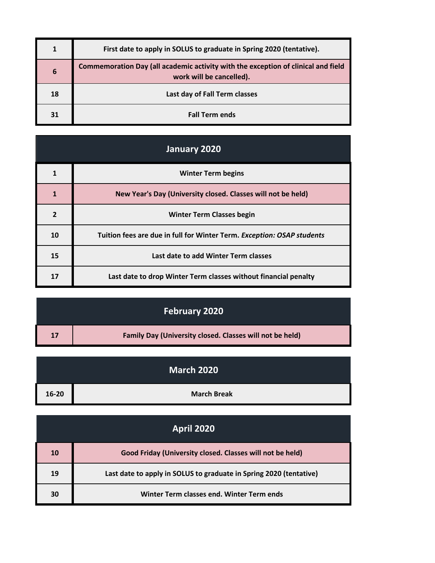|    | First date to apply in SOLUS to graduate in Spring 2020 (tentative).                                          |
|----|---------------------------------------------------------------------------------------------------------------|
| 6  | Commemoration Day (all academic activity with the exception of clinical and field<br>work will be cancelled). |
| 18 | Last day of Fall Term classes                                                                                 |
| 31 | <b>Fall Term ends</b>                                                                                         |

| January 2020   |                                                                        |
|----------------|------------------------------------------------------------------------|
| 1              | <b>Winter Term begins</b>                                              |
| 1              | New Year's Day (University closed. Classes will not be held)           |
| $\overline{2}$ | <b>Winter Term Classes begin</b>                                       |
| 10             | Tuition fees are due in full for Winter Term. Exception: OSAP students |
| 15             | Last date to add Winter Term classes                                   |
| 17             | Last date to drop Winter Term classes without financial penalty        |

## **February 2020**

| 17 | <b>Family Day (University closed. Classes will not be held)</b> |
|----|-----------------------------------------------------------------|
|    |                                                                 |

|           | March 2020         |
|-----------|--------------------|
| $16 - 20$ | <b>March Break</b> |

| <b>April 2020</b> |                                                                    |
|-------------------|--------------------------------------------------------------------|
| 10                | Good Friday (University closed. Classes will not be held)          |
| 19                | Last date to apply in SOLUS to graduate in Spring 2020 (tentative) |
| 30                | Winter Term classes end. Winter Term ends                          |